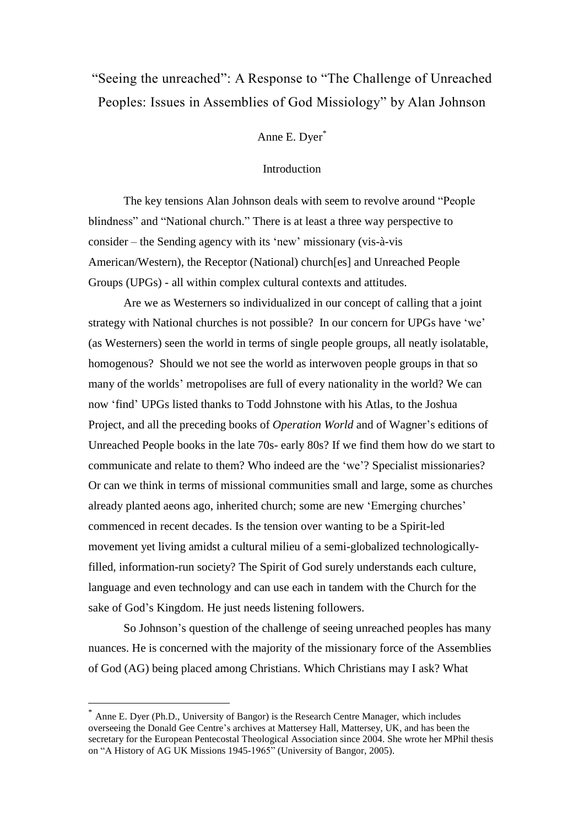# "Seeing the unreached": A Response to "The Challenge of Unreached Peoples: Issues in Assemblies of God Missiology" by Alan Johnson

Anne E. Dyer\*

# **Introduction**

The key tensions Alan Johnson deals with seem to revolve around "People blindness" and "National church." There is at least a three way perspective to consider – the Sending agency with its 'new' missionary (vis-à-vis American/Western), the Receptor (National) church[es] and Unreached People Groups (UPGs) - all within complex cultural contexts and attitudes.

Are we as Westerners so individualized in our concept of calling that a joint strategy with National churches is not possible? In our concern for UPGs have 'we' (as Westerners) seen the world in terms of single people groups, all neatly isolatable, homogenous? Should we not see the world as interwoven people groups in that so many of the worlds' metropolises are full of every nationality in the world? We can now 'find' UPGs listed thanks to Todd Johnstone with his Atlas, to the Joshua Project, and all the preceding books of *Operation World* and of Wagner's editions of Unreached People books in the late 70s- early 80s? If we find them how do we start to communicate and relate to them? Who indeed are the 'we'? Specialist missionaries? Or can we think in terms of missional communities small and large, some as churches already planted aeons ago, inherited church; some are new 'Emerging churches' commenced in recent decades. Is the tension over wanting to be a Spirit-led movement yet living amidst a cultural milieu of a semi-globalized technologicallyfilled, information-run society? The Spirit of God surely understands each culture, language and even technology and can use each in tandem with the Church for the sake of God's Kingdom. He just needs listening followers.

So Johnson's question of the challenge of seeing unreached peoples has many nuances. He is concerned with the majority of the missionary force of the Assemblies of God (AG) being placed among Christians. Which Christians may I ask? What

 $\overline{a}$ 

<sup>\*</sup> Anne E. Dyer (Ph.D., University of Bangor) is the Research Centre Manager, which includes overseeing the Donald Gee Centre's archives at Mattersey Hall, Mattersey, UK, and has been the secretary for the European Pentecostal Theological Association since 2004. She wrote her MPhil thesis on "A History of AG UK Missions 1945-1965" (University of Bangor, 2005).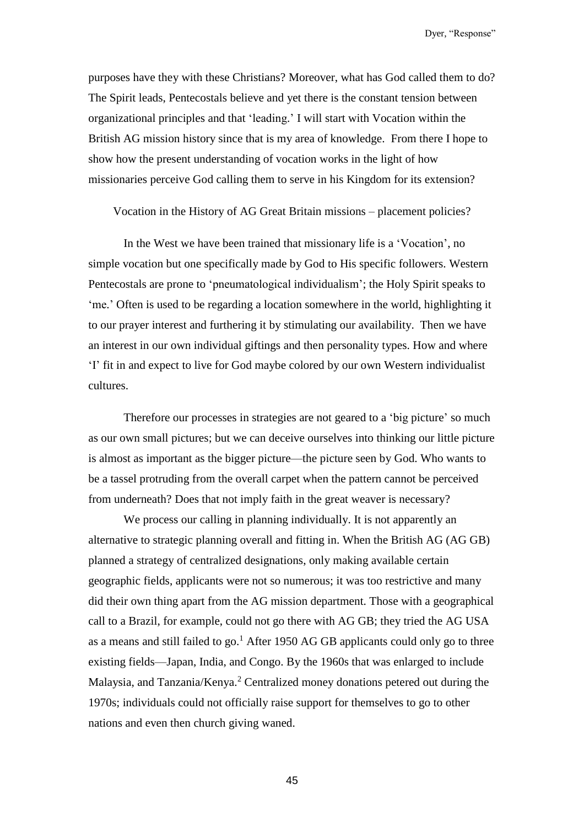purposes have they with these Christians? Moreover, what has God called them to do? The Spirit leads, Pentecostals believe and yet there is the constant tension between organizational principles and that 'leading.' I will start with Vocation within the British AG mission history since that is my area of knowledge. From there I hope to show how the present understanding of vocation works in the light of how missionaries perceive God calling them to serve in his Kingdom for its extension?

Vocation in the History of AG Great Britain missions – placement policies?

In the West we have been trained that missionary life is a 'Vocation', no simple vocation but one specifically made by God to His specific followers. Western Pentecostals are prone to 'pneumatological individualism'; the Holy Spirit speaks to 'me.' Often is used to be regarding a location somewhere in the world, highlighting it to our prayer interest and furthering it by stimulating our availability. Then we have an interest in our own individual giftings and then personality types. How and where 'I' fit in and expect to live for God maybe colored by our own Western individualist cultures.

Therefore our processes in strategies are not geared to a 'big picture' so much as our own small pictures; but we can deceive ourselves into thinking our little picture is almost as important as the bigger picture—the picture seen by God. Who wants to be a tassel protruding from the overall carpet when the pattern cannot be perceived from underneath? Does that not imply faith in the great weaver is necessary?

We process our calling in planning individually. It is not apparently an alternative to strategic planning overall and fitting in. When the British AG (AG GB) planned a strategy of centralized designations, only making available certain geographic fields, applicants were not so numerous; it was too restrictive and many did their own thing apart from the AG mission department. Those with a geographical call to a Brazil, for example, could not go there with AG GB; they tried the AG USA as a means and still failed to go.<sup>1</sup> After 1950 AG GB applicants could only go to three existing fields—Japan, India, and Congo. By the 1960s that was enlarged to include Malaysia, and Tanzania/Kenya.<sup>2</sup> Centralized money donations petered out during the 1970s; individuals could not officially raise support for themselves to go to other nations and even then church giving waned.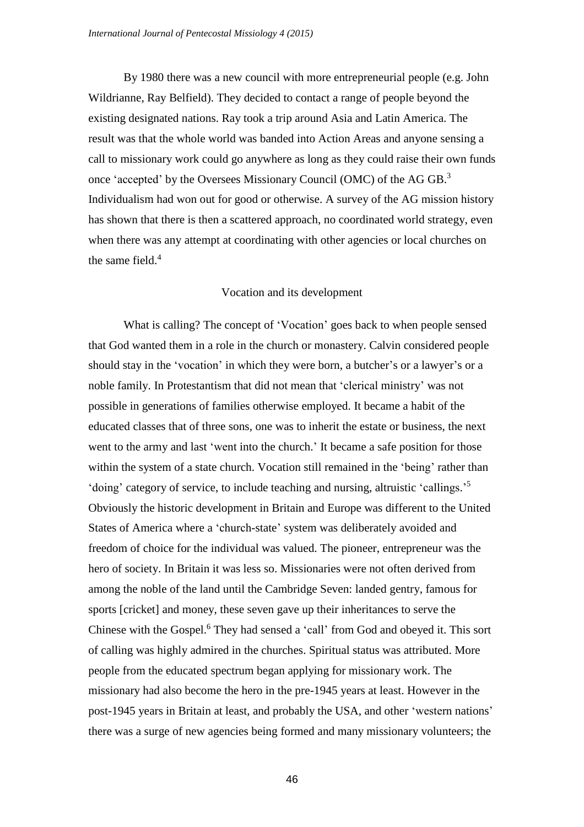By 1980 there was a new council with more entrepreneurial people (e.g. John Wildrianne, Ray Belfield). They decided to contact a range of people beyond the existing designated nations. Ray took a trip around Asia and Latin America. The result was that the whole world was banded into Action Areas and anyone sensing a call to missionary work could go anywhere as long as they could raise their own funds once 'accepted' by the Oversees Missionary Council (OMC) of the AG GB.<sup>3</sup> Individualism had won out for good or otherwise. A survey of the AG mission history has shown that there is then a scattered approach, no coordinated world strategy, even when there was any attempt at coordinating with other agencies or local churches on the same field.<sup>4</sup>

#### Vocation and its development

What is calling? The concept of 'Vocation' goes back to when people sensed that God wanted them in a role in the church or monastery. Calvin considered people should stay in the 'vocation' in which they were born, a butcher's or a lawyer's or a noble family. In Protestantism that did not mean that 'clerical ministry' was not possible in generations of families otherwise employed. It became a habit of the educated classes that of three sons, one was to inherit the estate or business, the next went to the army and last 'went into the church.' It became a safe position for those within the system of a state church. Vocation still remained in the 'being' rather than 'doing' category of service, to include teaching and nursing, altruistic 'callings.'<sup>5</sup> Obviously the historic development in Britain and Europe was different to the United States of America where a 'church-state' system was deliberately avoided and freedom of choice for the individual was valued. The pioneer, entrepreneur was the hero of society. In Britain it was less so. Missionaries were not often derived from among the noble of the land until the Cambridge Seven: landed gentry, famous for sports [cricket] and money, these seven gave up their inheritances to serve the Chinese with the Gospel.<sup>6</sup> They had sensed a 'call' from God and obeyed it. This sort of calling was highly admired in the churches. Spiritual status was attributed. More people from the educated spectrum began applying for missionary work. The missionary had also become the hero in the pre-1945 years at least. However in the post-1945 years in Britain at least, and probably the USA, and other 'western nations' there was a surge of new agencies being formed and many missionary volunteers; the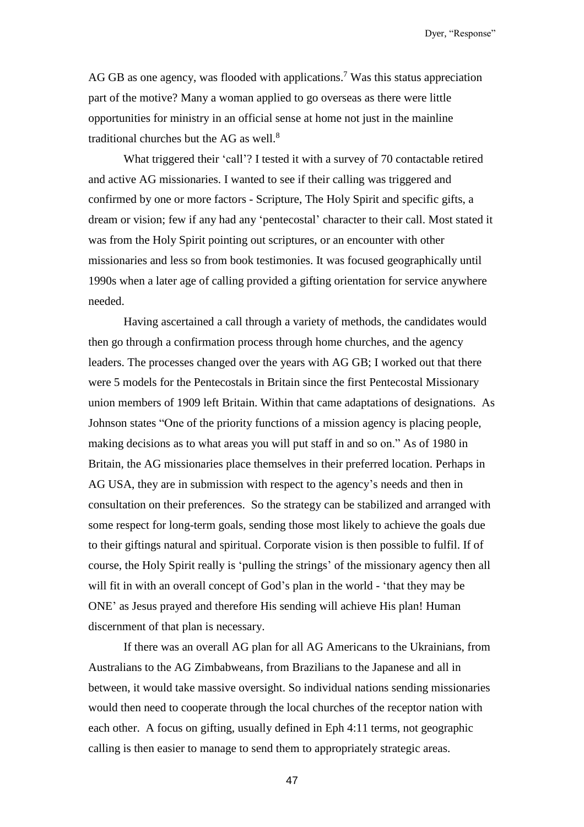AG GB as one agency, was flooded with applications.<sup>7</sup> Was this status appreciation part of the motive? Many a woman applied to go overseas as there were little opportunities for ministry in an official sense at home not just in the mainline traditional churches but the AG as well.<sup>8</sup>

What triggered their 'call'? I tested it with a survey of 70 contactable retired and active AG missionaries. I wanted to see if their calling was triggered and confirmed by one or more factors - Scripture, The Holy Spirit and specific gifts, a dream or vision; few if any had any 'pentecostal' character to their call. Most stated it was from the Holy Spirit pointing out scriptures, or an encounter with other missionaries and less so from book testimonies. It was focused geographically until 1990s when a later age of calling provided a gifting orientation for service anywhere needed.

Having ascertained a call through a variety of methods, the candidates would then go through a confirmation process through home churches, and the agency leaders. The processes changed over the years with AG GB; I worked out that there were 5 models for the Pentecostals in Britain since the first Pentecostal Missionary union members of 1909 left Britain. Within that came adaptations of designations. As Johnson states "One of the priority functions of a mission agency is placing people, making decisions as to what areas you will put staff in and so on." As of 1980 in Britain, the AG missionaries place themselves in their preferred location. Perhaps in AG USA, they are in submission with respect to the agency's needs and then in consultation on their preferences. So the strategy can be stabilized and arranged with some respect for long-term goals, sending those most likely to achieve the goals due to their giftings natural and spiritual. Corporate vision is then possible to fulfil. If of course, the Holy Spirit really is 'pulling the strings' of the missionary agency then all will fit in with an overall concept of God's plan in the world - 'that they may be ONE' as Jesus prayed and therefore His sending will achieve His plan! Human discernment of that plan is necessary.

If there was an overall AG plan for all AG Americans to the Ukrainians, from Australians to the AG Zimbabweans, from Brazilians to the Japanese and all in between, it would take massive oversight. So individual nations sending missionaries would then need to cooperate through the local churches of the receptor nation with each other. A focus on gifting, usually defined in Eph 4:11 terms, not geographic calling is then easier to manage to send them to appropriately strategic areas.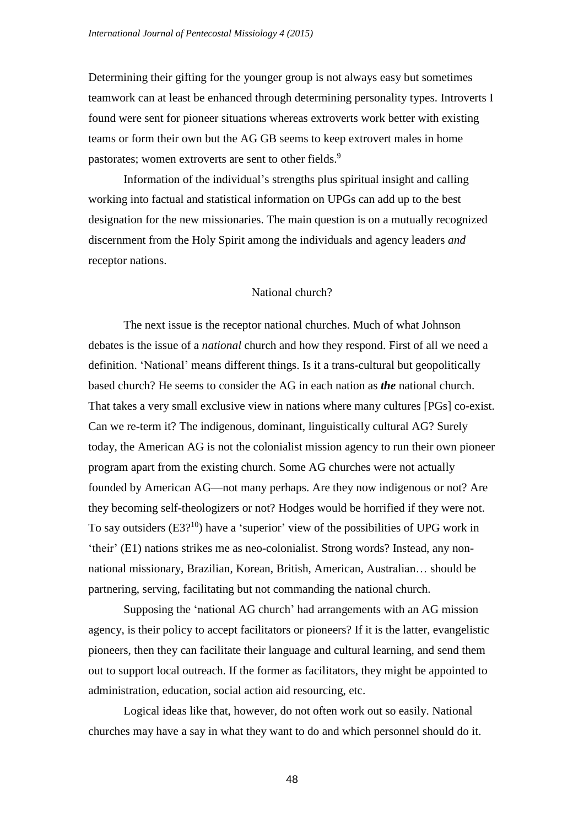Determining their gifting for the younger group is not always easy but sometimes teamwork can at least be enhanced through determining personality types. Introverts I found were sent for pioneer situations whereas extroverts work better with existing teams or form their own but the AG GB seems to keep extrovert males in home pastorates; women extroverts are sent to other fields.<sup>9</sup>

Information of the individual's strengths plus spiritual insight and calling working into factual and statistical information on UPGs can add up to the best designation for the new missionaries. The main question is on a mutually recognized discernment from the Holy Spirit among the individuals and agency leaders *and* receptor nations.

#### National church?

The next issue is the receptor national churches. Much of what Johnson debates is the issue of a *national* church and how they respond. First of all we need a definition. 'National' means different things. Is it a trans-cultural but geopolitically based church? He seems to consider the AG in each nation as *the* national church. That takes a very small exclusive view in nations where many cultures [PGs] co-exist. Can we re-term it? The indigenous, dominant, linguistically cultural AG? Surely today, the American AG is not the colonialist mission agency to run their own pioneer program apart from the existing church. Some AG churches were not actually founded by American AG—not many perhaps. Are they now indigenous or not? Are they becoming self-theologizers or not? Hodges would be horrified if they were not. To say outsiders  $(E3<sup>10</sup>)$  have a 'superior' view of the possibilities of UPG work in 'their' (E1) nations strikes me as neo-colonialist. Strong words? Instead, any nonnational missionary, Brazilian, Korean, British, American, Australian… should be partnering, serving, facilitating but not commanding the national church.

Supposing the 'national AG church' had arrangements with an AG mission agency, is their policy to accept facilitators or pioneers? If it is the latter, evangelistic pioneers, then they can facilitate their language and cultural learning, and send them out to support local outreach. If the former as facilitators, they might be appointed to administration, education, social action aid resourcing, etc.

Logical ideas like that, however, do not often work out so easily. National churches may have a say in what they want to do and which personnel should do it.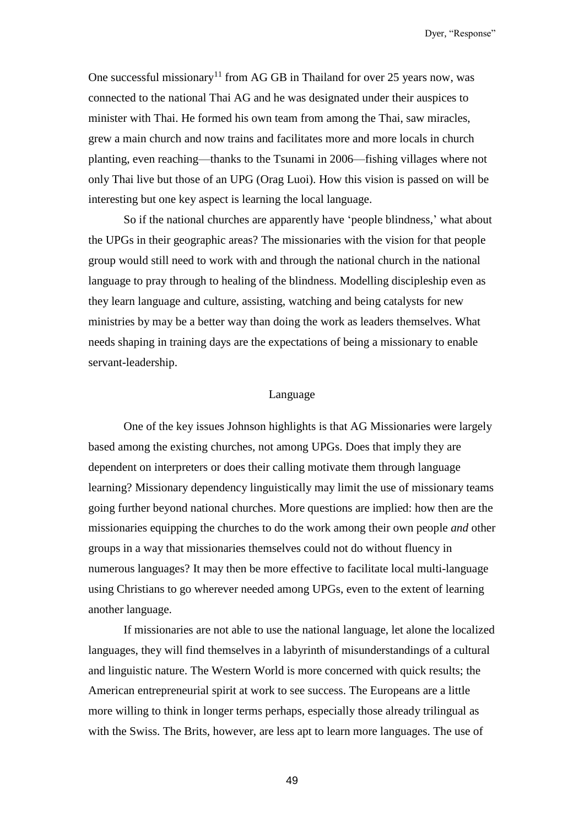One successful missionary<sup>11</sup> from AG GB in Thailand for over 25 years now, was connected to the national Thai AG and he was designated under their auspices to minister with Thai. He formed his own team from among the Thai, saw miracles, grew a main church and now trains and facilitates more and more locals in church planting, even reaching—thanks to the Tsunami in 2006—fishing villages where not only Thai live but those of an UPG (Orag Luoi). How this vision is passed on will be interesting but one key aspect is learning the local language.

So if the national churches are apparently have 'people blindness,' what about the UPGs in their geographic areas? The missionaries with the vision for that people group would still need to work with and through the national church in the national language to pray through to healing of the blindness. Modelling discipleship even as they learn language and culture, assisting, watching and being catalysts for new ministries by may be a better way than doing the work as leaders themselves. What needs shaping in training days are the expectations of being a missionary to enable servant-leadership.

## Language

One of the key issues Johnson highlights is that AG Missionaries were largely based among the existing churches, not among UPGs. Does that imply they are dependent on interpreters or does their calling motivate them through language learning? Missionary dependency linguistically may limit the use of missionary teams going further beyond national churches. More questions are implied: how then are the missionaries equipping the churches to do the work among their own people *and* other groups in a way that missionaries themselves could not do without fluency in numerous languages? It may then be more effective to facilitate local multi-language using Christians to go wherever needed among UPGs, even to the extent of learning another language.

If missionaries are not able to use the national language, let alone the localized languages, they will find themselves in a labyrinth of misunderstandings of a cultural and linguistic nature. The Western World is more concerned with quick results; the American entrepreneurial spirit at work to see success. The Europeans are a little more willing to think in longer terms perhaps, especially those already trilingual as with the Swiss. The Brits, however, are less apt to learn more languages. The use of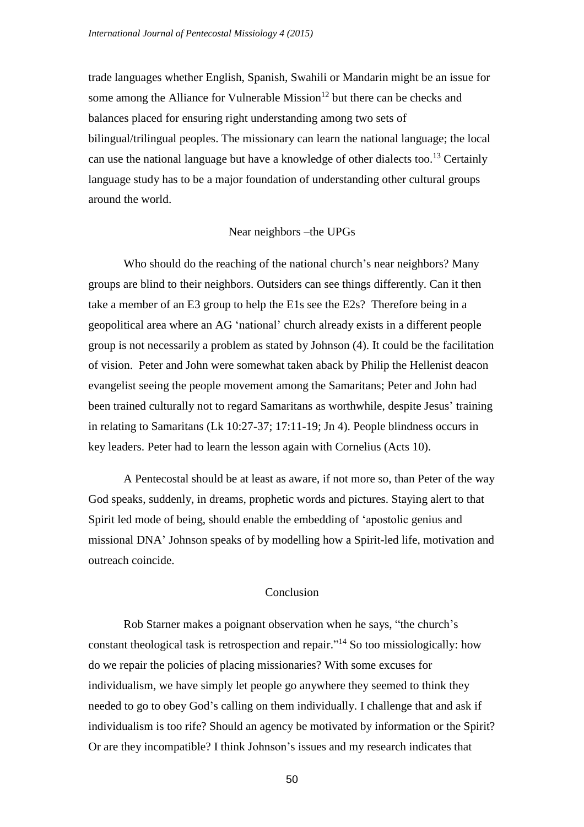trade languages whether English, Spanish, Swahili or Mandarin might be an issue for some among the Alliance for Vulnerable Mission<sup>12</sup> but there can be checks and balances placed for ensuring right understanding among two sets of bilingual/trilingual peoples. The missionary can learn the national language; the local can use the national language but have a knowledge of other dialects too.<sup>13</sup> Certainly language study has to be a major foundation of understanding other cultural groups around the world.

## Near neighbors –the UPGs

Who should do the reaching of the national church's near neighbors? Many groups are blind to their neighbors. Outsiders can see things differently. Can it then take a member of an E3 group to help the E1s see the E2s? Therefore being in a geopolitical area where an AG 'national' church already exists in a different people group is not necessarily a problem as stated by Johnson (4). It could be the facilitation of vision. Peter and John were somewhat taken aback by Philip the Hellenist deacon evangelist seeing the people movement among the Samaritans; Peter and John had been trained culturally not to regard Samaritans as worthwhile, despite Jesus' training in relating to Samaritans (Lk 10:27-37; 17:11-19; Jn 4). People blindness occurs in key leaders. Peter had to learn the lesson again with Cornelius (Acts 10).

A Pentecostal should be at least as aware, if not more so, than Peter of the way God speaks, suddenly, in dreams, prophetic words and pictures. Staying alert to that Spirit led mode of being, should enable the embedding of 'apostolic genius and missional DNA' Johnson speaks of by modelling how a Spirit-led life, motivation and outreach coincide.

# Conclusion

Rob Starner makes a poignant observation when he says, "the church's constant theological task is retrospection and repair." <sup>14</sup> So too missiologically: how do we repair the policies of placing missionaries? With some excuses for individualism, we have simply let people go anywhere they seemed to think they needed to go to obey God's calling on them individually. I challenge that and ask if individualism is too rife? Should an agency be motivated by information or the Spirit? Or are they incompatible? I think Johnson's issues and my research indicates that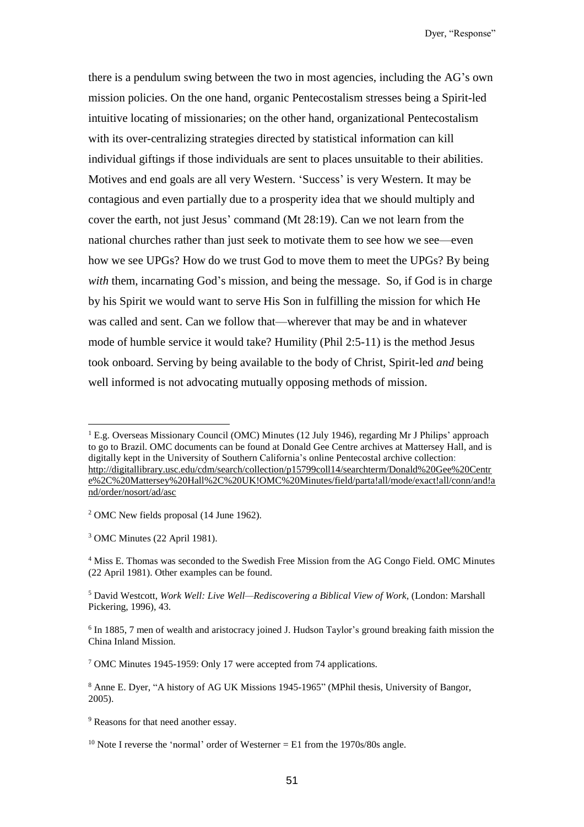there is a pendulum swing between the two in most agencies, including the AG's own mission policies. On the one hand, organic Pentecostalism stresses being a Spirit-led intuitive locating of missionaries; on the other hand, organizational Pentecostalism with its over-centralizing strategies directed by statistical information can kill individual giftings if those individuals are sent to places unsuitable to their abilities. Motives and end goals are all very Western. 'Success' is very Western. It may be contagious and even partially due to a prosperity idea that we should multiply and cover the earth, not just Jesus' command (Mt 28:19). Can we not learn from the national churches rather than just seek to motivate them to see how we see—even how we see UPGs? How do we trust God to move them to meet the UPGs? By being *with* them, incarnating God's mission, and being the message. So, if God is in charge by his Spirit we would want to serve His Son in fulfilling the mission for which He was called and sent. Can we follow that—wherever that may be and in whatever mode of humble service it would take? Humility (Phil 2:5-11) is the method Jesus took onboard. Serving by being available to the body of Christ, Spirit-led *and* being well informed is not advocating mutually opposing methods of mission.

<sup>2</sup> OMC New fields proposal (14 June 1962).

<sup>3</sup> OMC Minutes (22 April 1981).

l

<sup>9</sup> Reasons for that need another essay.

 $<sup>1</sup>$  E.g. Overseas Missionary Council (OMC) Minutes (12 July 1946), regarding Mr J Philips' approach</sup> to go to Brazil. OMC documents can be found at Donald Gee Centre archives at Mattersey Hall, and is digitally kept in the University of Southern California's online Pentecostal archive collection: [http://digitallibrary.usc.edu/cdm/search/collection/p15799coll14/searchterm/Donald%20Gee%20Centr](http://digitallibrary.usc.edu/cdm/search/collection/p15799coll14/searchterm/Donald%20Gee%20Centre%2C%20Mattersey%20Hall%2C%20UK!OMC%20Minutes/field/parta!all/mode/exact!all/conn/and!and/order/nosort/ad/asc) [e%2C%20Mattersey%20Hall%2C%20UK!OMC%20Minutes/field/parta!all/mode/exact!all/conn/and!a](http://digitallibrary.usc.edu/cdm/search/collection/p15799coll14/searchterm/Donald%20Gee%20Centre%2C%20Mattersey%20Hall%2C%20UK!OMC%20Minutes/field/parta!all/mode/exact!all/conn/and!and/order/nosort/ad/asc) [nd/order/nosort/ad/asc](http://digitallibrary.usc.edu/cdm/search/collection/p15799coll14/searchterm/Donald%20Gee%20Centre%2C%20Mattersey%20Hall%2C%20UK!OMC%20Minutes/field/parta!all/mode/exact!all/conn/and!and/order/nosort/ad/asc)

<sup>4</sup> Miss E. Thomas was seconded to the Swedish Free Mission from the AG Congo Field. OMC Minutes (22 April 1981). Other examples can be found.

<sup>5</sup> David Westcott, *Work Well: Live Well—Rediscovering a Biblical View of Work,* (London: Marshall Pickering, 1996), 43.

<sup>&</sup>lt;sup>6</sup> In 1885, 7 men of wealth and aristocracy joined J. Hudson Taylor's ground breaking faith mission the China Inland Mission.

<sup>7</sup> OMC Minutes 1945-1959: Only 17 were accepted from 74 applications.

<sup>8</sup> Anne E. Dyer, "A history of AG UK Missions 1945-1965" (MPhil thesis, University of Bangor, 2005).

<sup>&</sup>lt;sup>10</sup> Note I reverse the 'normal' order of Westerner = E1 from the 1970s/80s angle.